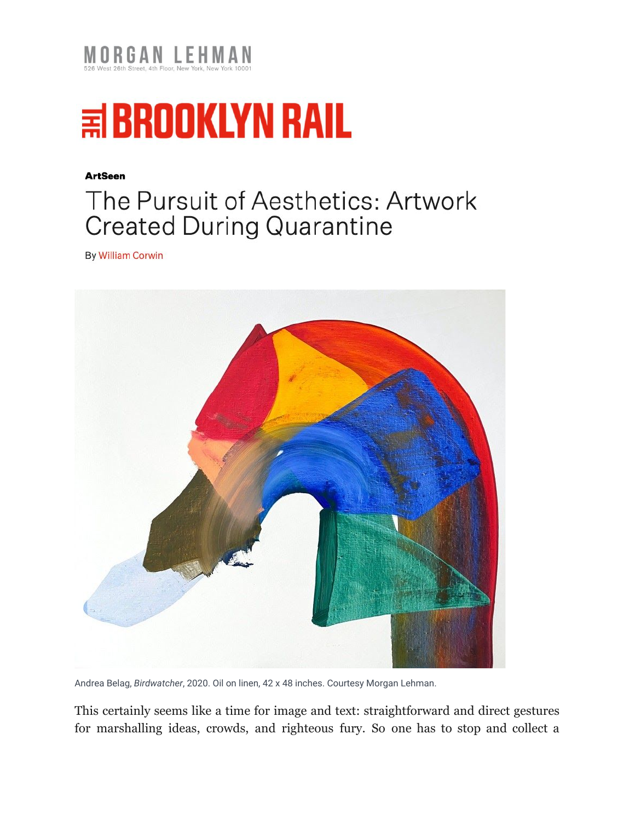



## **ArtSeen**

## The Pursuit of Aesthetics: Artwork **Created During Quarantine**

**By William Corwin** 



Andrea Belag, *Birdwatcher*, 2020. Oil on linen, 42 x 48 inches. Courtesy Morgan Lehman.

This certainly seems like a time for image and text: straightforward and direct gestures for marshalling ideas, crowds, and righteous fury. So one has to stop and collect a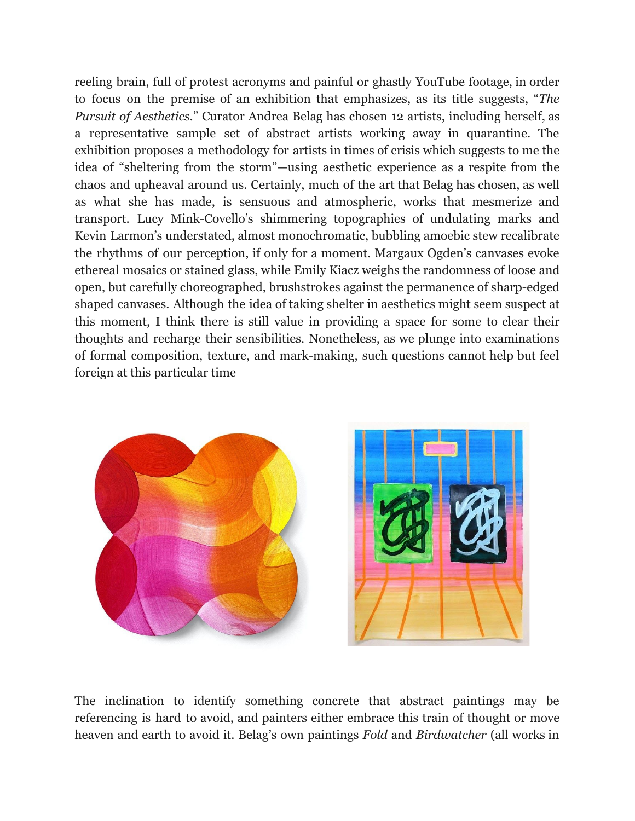reeling brain, full of protest acronyms and painful or ghastly YouTube footage, in order to focus on the premise of an exhibition that emphasizes, as its title suggests, "*The Pursuit of Aesthetics*." Curator Andrea Belag has chosen 12 artists, including herself, as a representative sample set of abstract artists working away in quarantine. The exhibition proposes a methodology for artists in times of crisis which suggests to me the idea of "sheltering from the storm"—using aesthetic experience as a respite from the chaos and upheaval around us. Certainly, much of the art that Belag has chosen, as well as what she has made, is sensuous and atmospheric, works that mesmerize and transport. Lucy Mink-Covello's shimmering topographies of undulating marks and Kevin Larmon's understated, almost monochromatic, bubbling amoebic stew recalibrate the rhythms of our perception, if only for a moment. Margaux Ogden's canvases evoke ethereal mosaics or stained glass, while Emily Kiacz weighs the randomness of loose and open, but carefully choreographed, brushstrokes against the permanence of sharp-edged shaped canvases. Although the idea of taking shelter in aesthetics might seem suspect at this moment, I think there is still value in providing a space for some to clear their thoughts and recharge their sensibilities. Nonetheless, as we plunge into examinations of formal composition, texture, and mark-making, such questions cannot help but feel foreign at this particular time



The inclination to identify something concrete that abstract paintings may be referencing is hard to avoid, and painters either embrace this train of thought or move heaven and earth to avoid it. Belag's own paintings *Fold* and *Birdwatcher* (all works in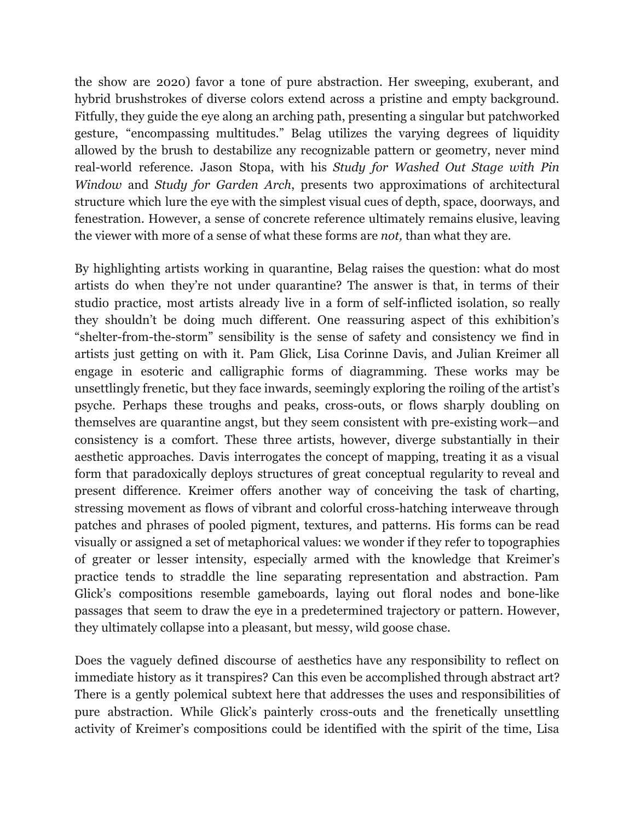the show are 2020) favor a tone of pure abstraction. Her sweeping, exuberant, and hybrid brushstrokes of diverse colors extend across a pristine and empty background. Fitfully, they guide the eye along an arching path, presenting a singular but patchworked gesture, "encompassing multitudes." Belag utilizes the varying degrees of liquidity allowed by the brush to destabilize any recognizable pattern or geometry, never mind real-world reference. Jason Stopa, with his *Study for Washed Out Stage with Pin Window* and *Study for Garden Arch*, presents two approximations of architectural structure which lure the eye with the simplest visual cues of depth, space, doorways, and fenestration. However, a sense of concrete reference ultimately remains elusive, leaving the viewer with more of a sense of what these forms are *not,* than what they are.

By highlighting artists working in quarantine, Belag raises the question: what do most artists do when they're not under quarantine? The answer is that, in terms of their studio practice, most artists already live in a form of self-inflicted isolation, so really they shouldn't be doing much different. One reassuring aspect of this exhibition's "shelter-from-the-storm" sensibility is the sense of safety and consistency we find in artists just getting on with it. Pam Glick, Lisa Corinne Davis, and Julian Kreimer all engage in esoteric and calligraphic forms of diagramming. These works may be unsettlingly frenetic, but they face inwards, seemingly exploring the roiling of the artist's psyche. Perhaps these troughs and peaks, cross-outs, or flows sharply doubling on themselves are quarantine angst, but they seem consistent with pre-existing work—and consistency is a comfort. These three artists, however, diverge substantially in their aesthetic approaches. Davis interrogates the concept of mapping, treating it as a visual form that paradoxically deploys structures of great conceptual regularity to reveal and present difference. Kreimer offers another way of conceiving the task of charting, stressing movement as flows of vibrant and colorful cross-hatching interweave through patches and phrases of pooled pigment, textures, and patterns. His forms can be read visually or assigned a set of metaphorical values: we wonder if they refer to topographies of greater or lesser intensity, especially armed with the knowledge that Kreimer's practice tends to straddle the line separating representation and abstraction. Pam Glick's compositions resemble gameboards, laying out floral nodes and bone-like passages that seem to draw the eye in a predetermined trajectory or pattern. However, they ultimately collapse into a pleasant, but messy, wild goose chase.

Does the vaguely defined discourse of aesthetics have any responsibility to reflect on immediate history as it transpires? Can this even be accomplished through abstract art? There is a gently polemical subtext here that addresses the uses and responsibilities of pure abstraction. While Glick's painterly cross-outs and the frenetically unsettling activity of Kreimer's compositions could be identified with the spirit of the time, Lisa